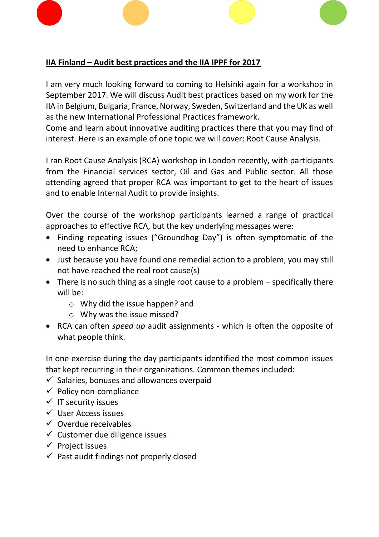## **IIA Finland – Audit best practices and the IIA IPPF for 2017**

I am very much looking forward to coming to Helsinki again for a workshop in September 2017. We will discuss Audit best practices based on my work for the IIA in Belgium, Bulgaria, France, Norway, Sweden, Switzerland and the UK as well as the new International Professional Practices framework.

Come and learn about innovative auditing practices there that you may find of interest. Here is an example of one topic we will cover: Root Cause Analysis.

I ran Root Cause Analysis (RCA) workshop in London recently, with participants from the Financial services sector, Oil and Gas and Public sector. All those attending agreed that proper RCA was important to get to the heart of issues and to enable Internal Audit to provide insights.

Over the course of the workshop participants learned a range of practical approaches to effective RCA, but the key underlying messages were:

- Finding repeating issues ("Groundhog Day") is often symptomatic of the need to enhance RCA;
- Just because you have found one remedial action to a problem, you may still not have reached the real root cause(s)
- There is no such thing as a single root cause to a problem specifically there will be:
	- o Why did the issue happen? and
	- o Why was the issue missed?
- RCA can often *speed up* audit assignments which is often the opposite of what people think.

In one exercise during the day participants identified the most common issues that kept recurring in their organizations. Common themes included:

- $\checkmark$  Salaries, bonuses and allowances overpaid
- $\checkmark$  Policy non-compliance
- $\checkmark$  IT security issues
- ✓ User Access issues
- $\checkmark$  Overdue receivables
- $\checkmark$  Customer due diligence issues
- $\checkmark$  Project issues
- $\checkmark$  Past audit findings not properly closed